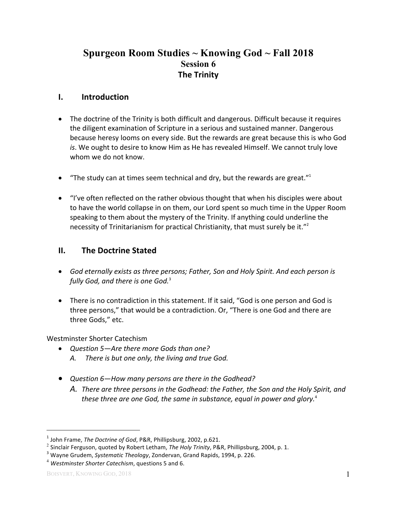# **Spurgeon Room Studies ~ Knowing God ~ Fall 2018 Session 6 The Trinity**

### **I. Introduction**

- The doctrine of the Trinity is both difficult and dangerous. Difficult because it requires the diligent examination of Scripture in a serious and sustained manner. Dangerous because heresy looms on every side. But the rewards are great because this is who God *is*. We ought to desire to know Him as He has revealed Himself. We cannot truly love whom we do not know.
- "The study can at times seem technical and dry, but the rewards are great."<sup>1</sup>
- "I've often reflected on the rather obvious thought that when his disciples were about to have the world collapse in on them, our Lord spent so much time in the Upper Room speaking to them about the mystery of the Trinity. If anything could underline the necessity of Trinitarianism for practical Christianity, that must surely be it." $2$

## **II.** The Doctrine Stated

- God eternally exists as three persons; Father, Son and Holy Spirit. And each person is *fully God, and there is one God.*<sup>3</sup>
- There is no contradiction in this statement. If it said, "God is one person and God is three persons," that would be a contradiction. Or, "There is one God and there are three Gods," etc.

Westminster Shorter Catechism

- *Question* 5—Are there more Gods than one?
	- A. There is but one only, the living and true God.
- Question 6-How many persons are there in the Godhead?
	- A. There are three persons in the Godhead: the Father, the Son and the Holy Spirit, and these three are one God, the same in substance, equal in power and alory.<sup>4</sup>

 $1$  John Frame, *The Doctrine of God*, P&R, Phillipsburg, 2002, p.621.

<sup>&</sup>lt;sup>2</sup> Sinclair Ferguson, quoted by Robert Letham, *The Holy Trinity*, P&R, Phillipsburg, 2004, p. 1.<br><sup>3</sup> Wayne Grudem, *Systematic Theology*, Zondervan, Grand Rapids, 1994, p. 226.

<sup>&</sup>lt;sup>4</sup> Westminster Shorter Catechism, questions 5 and 6.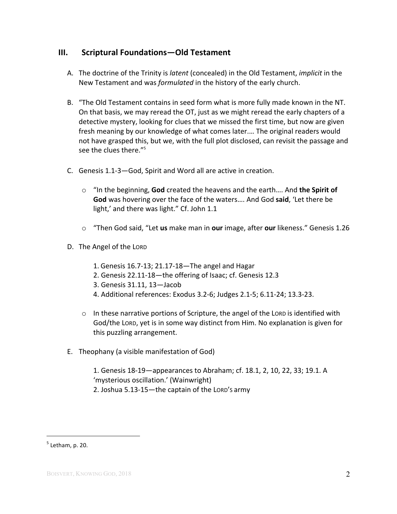## **III.** Scriptural Foundations—Old Testament

- A. The doctrine of the Trinity is *latent* (concealed) in the Old Testament, *implicit* in the New Testament and was *formulated* in the history of the early church.
- B. "The Old Testament contains in seed form what is more fully made known in the NT. On that basis, we may reread the OT, just as we might reread the early chapters of a detective mystery, looking for clues that we missed the first time, but now are given fresh meaning by our knowledge of what comes later.... The original readers would not have grasped this, but we, with the full plot disclosed, can revisit the passage and see the clues there." $5$
- C. Genesis 1.1-3-God, Spirit and Word all are active in creation.
	- $\circ$  "In the beginning, **God** created the heavens and the earth.... And **the Spirit of** God was hovering over the face of the waters.... And God said, 'Let there be light,' and there was light." Cf. John 1.1
	- o "Then God said, "Let **us** make man in **our** image, after **our** likeness." Genesis 1.26
- D. The Angel of the LORD
	- 1. Genesis  $16.7-13$ ;  $21.17-18$ —The angel and Hagar
	- 2. Genesis 22.11-18—the offering of Isaac; cf. Genesis 12.3
	- 3. Genesis 31.11, 13—Jacob
	- 4. Additional references: Exodus 3.2-6; Judges 2.1-5; 6.11-24; 13.3-23.
	- $\circ$  In these narrative portions of Scripture, the angel of the LORD is identified with God/the LORD, yet is in some way distinct from Him. No explanation is given for this puzzling arrangement.
- E. Theophany (a visible manifestation of God)
	- 1. Genesis 18-19-appearances to Abraham; cf. 18.1, 2, 10, 22, 33; 19.1. A 'mysterious oscillation.' (Wainwright) 2. Joshua 5.13-15-the captain of the LORD's army

 $<sup>5</sup>$  Letham, p. 20.</sup>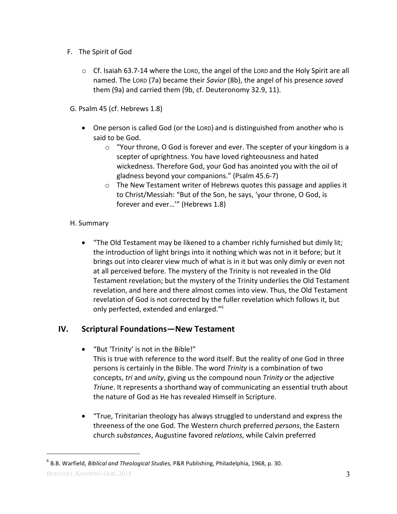- F. The Spirit of God
	- $\circ$  Cf. Isaiah 63.7-14 where the LORD, the angel of the LORD and the Holy Spirit are all named. The LORD (7a) became their *Savior* (8b), the angel of his presence *saved* them (9a) and carried them (9b, cf. Deuteronomy 32.9, 11).
- G. Psalm 45 (cf. Hebrews 1.8)
	- One person is called God (or the LORD) and is distinguished from another who is said to be God.
		- $\circ$  "Your throne, O God is forever and ever. The scepter of your kingdom is a scepter of uprightness. You have loved righteousness and hated wickedness. Therefore God, your God has anointed you with the oil of gladness beyond your companions." (Psalm 45.6-7)
		- $\circ$  The New Testament writer of Hebrews quotes this passage and applies it to Christ/Messiah: "But of the Son, he says, 'your throne, O God, is forever and ever...'" (Hebrews 1.8)

#### H. Summary

• "The Old Testament may be likened to a chamber richly furnished but dimly lit; the introduction of light brings into it nothing which was not in it before; but it brings out into clearer view much of what is in it but was only dimly or even not at all perceived before. The mystery of the Trinity is not revealed in the Old Testament revelation; but the mystery of the Trinity underlies the Old Testament revelation, and here and there almost comes into view. Thus, the Old Testament revelation of God is not corrected by the fuller revelation which follows it, but only perfected, extended and enlarged."<sup>6</sup>

## **IV. Scriptural Foundations—New Testament**

- "But 'Trinity' is not in the Bible!" This is true with reference to the word itself. But the reality of one God in three
	- persons is certainly in the Bible. The word *Trinity* is a combination of two concepts, *tri* and *unity*, giving us the compound noun *Trinity* or the adjective *Triune*. It represents a shorthand way of communicating an essential truth about the nature of God as He has revealed Himself in Scripture.
- "True, Trinitarian theology has always struggled to understand and express the threeness of the one God. The Western church preferred *persons*, the Eastern church *substances*, Augustine favored *relations*, while Calvin preferred

<sup>&</sup>lt;sup>6</sup> B.B. Warfield, *Biblical and Theological Studies*, P&R Publishing, Philadelphia, 1968, p. 30.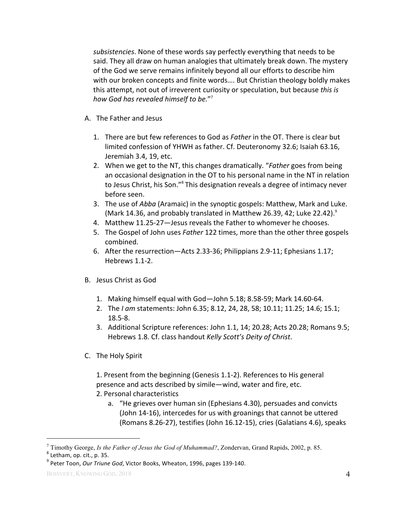subsistencies. None of these words say perfectly everything that needs to be said. They all draw on human analogies that ultimately break down. The mystery of the God we serve remains infinitely beyond all our efforts to describe him with our broken concepts and finite words.... But Christian theology boldly makes this attempt, not out of irreverent curiosity or speculation, but because *this is how God has revealed himself to be.*" 7

- A. The Father and Jesus
	- 1. There are but few references to God as *Father* in the OT. There is clear but limited confession of YHWH as father. Cf. Deuteronomy 32.6; Isaiah 63.16, Jeremiah 3.4, 19, etc.
	- 2. When we get to the NT, this changes dramatically. "*Father* goes from being an occasional designation in the OT to his personal name in the NT in relation to Jesus Christ, his Son."<sup>8</sup> This designation reveals a degree of intimacy never before seen.
	- 3. The use of *Abba* (Aramaic) in the synoptic gospels: Matthew, Mark and Luke. (Mark 14.36, and probably translated in Matthew 26.39, 42; Luke 22.42).<sup>9</sup>
	- 4. Matthew 11.25-27-Jesus reveals the Father to whomever he chooses.
	- 5. The Gospel of John uses *Father* 122 times, more than the other three gospels combined.
	- 6. After the resurrection—Acts 2.33-36; Philippians 2.9-11; Ephesians 1.17; Hebrews 1.1-2.
- B. Jesus Christ as God
	- 1. Making himself equal with God-John 5.18; 8.58-59; Mark 14.60-64.
	- 2. The *I am* statements: John 6.35; 8.12, 24, 28, 58; 10.11; 11.25; 14.6; 15.1; 18.5-8.
	- 3. Additional Scripture references: John 1.1, 14; 20.28; Acts 20.28; Romans 9.5; Hebrews 1.8. Cf. class handout *Kelly Scott's Deity of Christ*.
- C. The Holy Spirit

1. Present from the beginning (Genesis 1.1-2). References to His general presence and acts described by simile—wind, water and fire, etc. 2. Personal characteristics

a. "He grieves over human sin (Ephesians 4.30), persuades and convicts (John 14-16), intercedes for us with groanings that cannot be uttered (Romans 8.26-27), testifies (John 16.12-15), cries (Galatians  $4.6$ ), speaks

 $\overline{a}$ <sup>7</sup> Timothy George, *Is the Father of Jesus the God of Muhammad?*, Zondervan, Grand Rapids, 2002, p. 85. 8 Letham, op. cit., p. 35.

<sup>&</sup>lt;sup>9</sup> Peter Toon, Our Triune God, Victor Books, Wheaton, 1996, pages 139-140.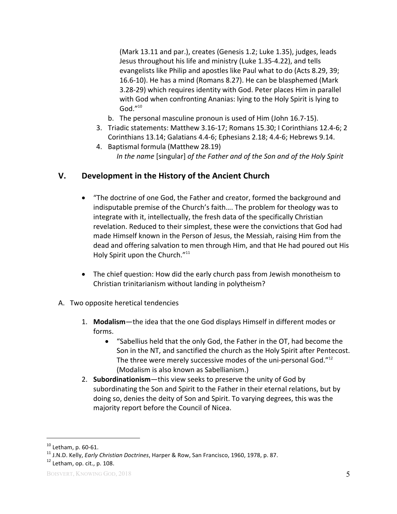(Mark 13.11 and par.), creates (Genesis 1.2; Luke 1.35), judges, leads Jesus throughout his life and ministry (Luke 1.35-4.22), and tells evangelists like Philip and apostles like Paul what to do (Acts 8.29, 39; 16.6-10). He has a mind (Romans 8.27). He can be blasphemed (Mark 3.28-29) which requires identity with God. Peter places Him in parallel with God when confronting Ananias: lying to the Holy Spirit is lying to God $^{\prime\prime}$ <sup>10</sup>

- b. The personal masculine pronoun is used of Him (John 16.7-15).
- 3. Triadic statements: Matthew 3.16-17; Romans 15.30; I Corinthians 12.4-6; 2 Corinthians 13.14; Galatians 4.4-6; Ephesians 2.18; 4.4-6; Hebrews 9.14.
- 4. Baptismal formula (Matthew 28.19) *In the name* [singular] *of the Father and of the Son and of the Holy Spirit*

## **V.** Development in the History of the Ancient Church

- "The doctrine of one God, the Father and creator, formed the background and indisputable premise of the Church's faith.... The problem for theology was to integrate with it, intellectually, the fresh data of the specifically Christian revelation. Reduced to their simplest, these were the convictions that God had made Himself known in the Person of Jesus, the Messiah, raising Him from the dead and offering salvation to men through Him, and that He had poured out His Holy Spirit upon the Church."<sup>11</sup>
- The chief question: How did the early church pass from Jewish monotheism to Christian trinitarianism without landing in polytheism?
- A. Two opposite heretical tendencies
	- 1. **Modalism**—the idea that the one God displays Himself in different modes or forms.
		- "Sabellius held that the only God, the Father in the OT, had become the Son in the NT, and sanctified the church as the Holy Spirit after Pentecost. The three were merely successive modes of the uni-personal God." $12$ (Modalism is also known as Sabellianism.)
	- 2. **Subordinationism**—this view seeks to preserve the unity of God by subordinating the Son and Spirit to the Father in their eternal relations, but by doing so, denies the deity of Son and Spirit. To varying degrees, this was the majority report before the Council of Nicea.

<sup>&</sup>lt;sup>10</sup> Letham, p. 60-61.<br><sup>11</sup> J.N.D. Kelly, *Early Christian Doctrines*, Harper & Row, San Francisco, 1960, 1978, p. 87.<br><sup>12</sup> Letham, op. cit., p. 108.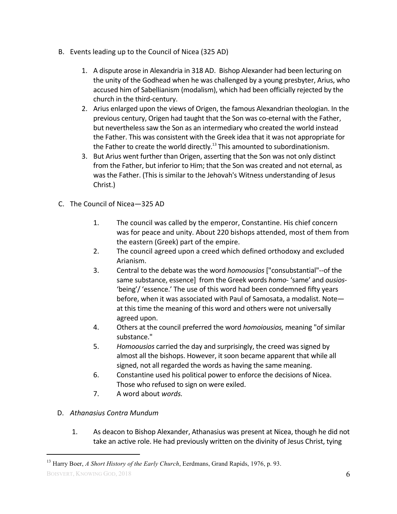- B. Events leading up to the Council of Nicea (325 AD)
	- 1. A dispute arose in Alexandria in 318 AD. Bishop Alexander had been lecturing on the unity of the Godhead when he was challenged by a young presbyter, Arius, who accused him of Sabellianism (modalism), which had been officially rejected by the church in the third-century.
	- 2. Arius enlarged upon the views of Origen, the famous Alexandrian theologian. In the previous century, Origen had taught that the Son was co-eternal with the Father, but nevertheless saw the Son as an intermediary who created the world instead the Father. This was consistent with the Greek idea that it was not appropriate for the Father to create the world directly.<sup>13</sup> This amounted to subordinationism.
	- 3. But Arius went further than Origen, asserting that the Son was not only distinct from the Father, but inferior to Him; that the Son was created and not eternal, as was the Father. (This is similar to the Jehovah's Witness understanding of Jesus Christ.)
- C. The Council of Nicea-325 AD
	- 1. The council was called by the emperor, Constantine. His chief concern was for peace and unity. About 220 bishops attended, most of them from the eastern (Greek) part of the empire.
	- 2. The council agreed upon a creed which defined orthodoxy and excluded Arianism.
	- 3. Central to the debate was the word *homoousios* ["consubstantial"--of the same substance, essence] from the Greek words *homo*- 'same' and *ousios*-'being'/ 'essence.' The use of this word had been condemned fifty years before, when it was associated with Paul of Samosata, a modalist. Noteat this time the meaning of this word and others were not universally agreed upon.
	- 4. Others at the council preferred the word *homoiousios*, meaning "of similar substance."
	- 5. *Homoousios* carried the day and surprisingly, the creed was signed by almost all the bishops. However, it soon became apparent that while all signed, not all regarded the words as having the same meaning.
	- 6. Constantine used his political power to enforce the decisions of Nicea. Those who refused to sign on were exiled.
	- 7. A word about *words*.

#### D. *Athanasius Contra Mundum*

1. As deacon to Bishop Alexander, Athanasius was present at Nicea, though he did not take an active role. He had previously written on the divinity of Jesus Christ, tying

BOISVERT, KNOWING GOD, 2018 6

<sup>&</sup>lt;sup>13</sup> Harry Boer, *A Short History of the Early Church*, Eerdmans, Grand Rapids, 1976, p. 93.